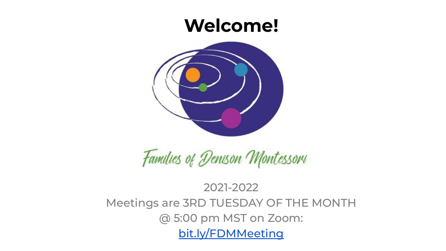#### **Welcome!**



## Families of Denison Montessori

#### 2021-2022 Meetings are 3RD TUESDAY OF THE MONTH @ 5:00 pm MST on Zoom: [bit.ly/FDMMeeting](https://us02web.zoom.us/j/86894754099?pwd=U09XWWk4akl3a1JGcHVRWWkrWVNWQT09)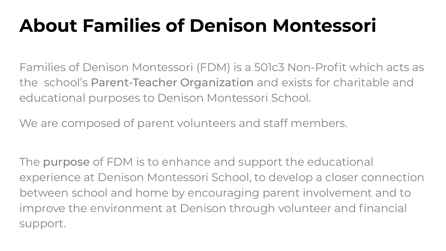## **About Families of Denison Montessori**

Families of Denison Montessori (FDM) is a 501c3 Non-Profit which acts as the school's Parent-Teacher Organization and exists for charitable and educational purposes to Denison Montessori School.

We are composed of parent volunteers and staff members.

The purpose of FDM is to enhance and support the educational experience at Denison Montessori School, to develop a closer connection between school and home by encouraging parent involvement and to improve the environment at Denison through volunteer and financial support.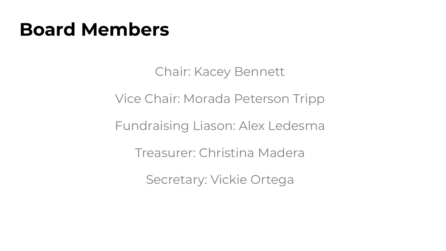#### **Board Members**

Chair: Kacey Bennett

Vice Chair: Morada Peterson Tripp

Fundraising Liason: Alex Ledesma

Treasurer: Christina Madera

Secretary: Vickie Ortega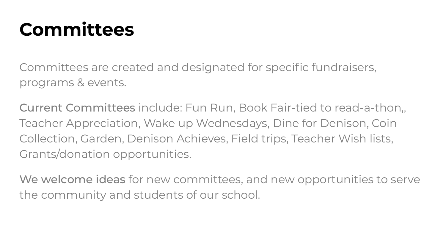### **Committees**

Committees are created and designated for specific fundraisers, programs & events.

Current Committees include: Fun Run, Book Fair-tied to read-a-thon,, Teacher Appreciation, Wake up Wednesdays, Dine for Denison, Coin Collection, Garden, Denison Achieves, Field trips, Teacher Wish lists, Grants/donation opportunities.

We welcome ideas for new committees, and new opportunities to serve the community and students of our school.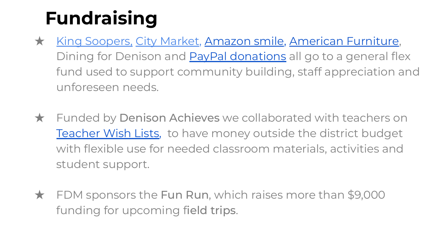## **Fundraising**

- ★ [King Soopers,](https://www.kingsoopers.com/i/community/community-rewards) [City Market,](https://www.citymarket.com/i/community/community-rewards) [Amazon smile,](http://www.smile.amazon.com) [American Furniture](http://afw.com), Dining for Denison and [PayPal donations](https://bit.ly/DonateDenison) all go to a general flex fund used to support community building, staff appreciation and unforeseen needs.
- ★ Funded by Denison Achieves we collaborated with teachers on [Teacher Wish Lists](https://bit.ly/TeacherWishDenison), to have money outside the district budget with flexible use for needed classroom materials, activities and student support.
- ★ FDM sponsors the Fun Run, which raises more than \$9,000 funding for upcoming field trips.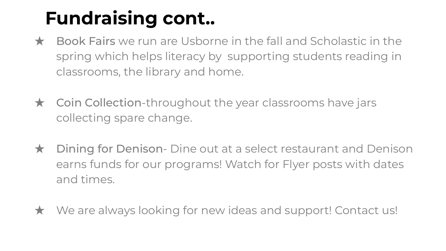## **Fundraising cont..**

- ★ Book Fairs we run are Usborne in the fall and Scholastic in the spring which helps literacy by supporting students reading in classrooms, the library and home.
- ★ Coin Collection-throughout the year classrooms have jars collecting spare change.
- ★ Dining for Denison- Dine out at a select restaurant and Denison earns funds for our programs! Watch for Flyer posts with dates and times.
- ★ We are always looking for new ideas and support! Contact us!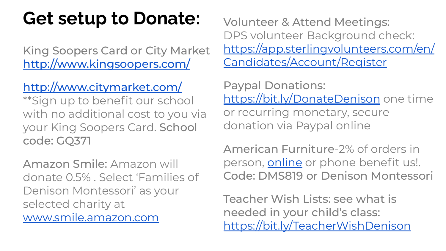### **Get setup to Donate:** Volunteer & Attend Meetings:

King Soopers Card or City Market <http://www.kingsoopers.com/>

#### <http://www.citymarket.com/>

\*\*Sign up to benefit our school with no additional cost to you via your King Soopers Card. School code: GQ371

Amazon Smile: Amazon will donate 0.5% . Select 'Families of Denison Montessori' as your selected charity at [www.smile.amazon.com](http://www.smile.amazon.com)

DPS volunteer Background check: [https://app.sterlingvolunteers.com/en/](https://app.sterlingvolunteers.com/en/Candidates/Account/Register) [Candidates/Account/Register](https://app.sterlingvolunteers.com/en/Candidates/Account/Register)

Paypal Donations: <https://bit.ly/DonateDenison> one time or recurring monetary, secure donation via Paypal online

American Furniture-2% of orders in person, [online](http://afw.com) or phone benefit us!. Code: DMS819 or Denison Montessori

Teacher Wish Lists: see what is needed in your child's class: <https://bit.ly/TeacherWishDenison>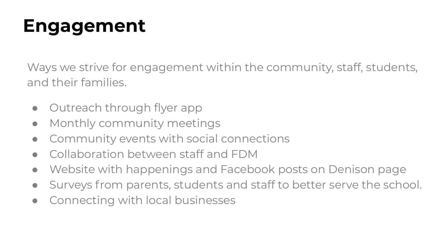## **Engagement**

Ways we strive for engagement within the community, staff, students, and their families.

- Outreach through flyer app
- Monthly community meetings
- Community events with social connections
- Collaboration between staff and FDM
- Website with happenings and Facebook posts on Denison page
- Surveys from parents, students and staff to better serve the school.
- Connecting with local businesses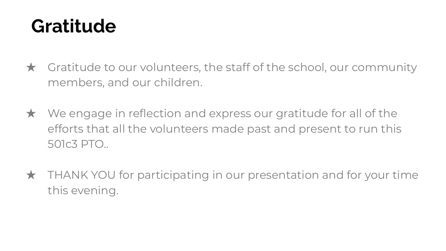#### **Gratitude**

- $\star$  Gratitude to our volunteers, the staff of the school, our community members, and our children.
- $\star$  We engage in reflection and express our gratitude for all of the efforts that all the volunteers made past and present to run this 501c3 PTO..
- $\star$  THANK YOU for participating in our presentation and for your time this evening.